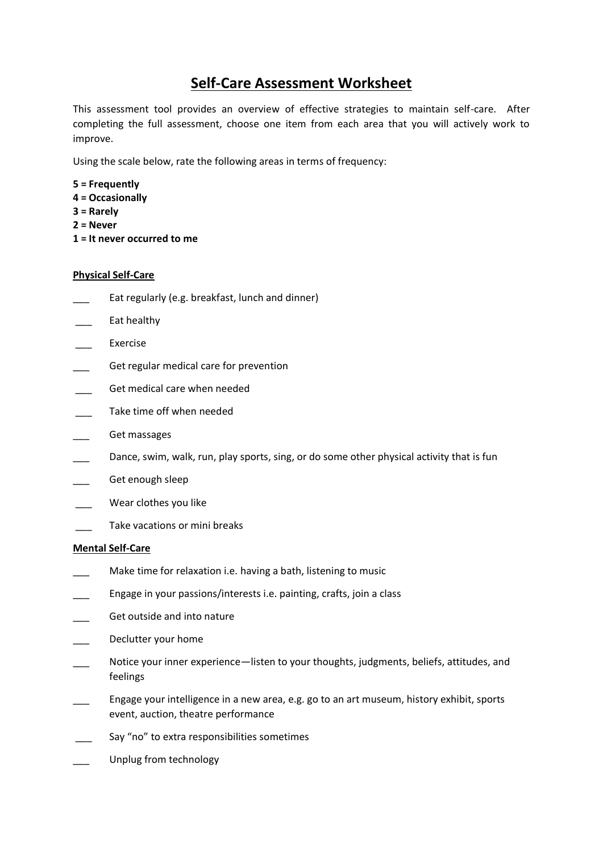# **Self-Care Assessment Worksheet**

This assessment tool provides an overview of effective strategies to maintain self-care. After completing the full assessment, choose one item from each area that you will actively work to improve.

Using the scale below, rate the following areas in terms of frequency:

- **5 = Frequently**
- **4 = Occasionally**
- **3 = Rarely**
- **2 = Never**
- **1 = It never occurred to me**

## **Physical Self-Care**

- Eat regularly (e.g. breakfast, lunch and dinner)
- \_\_\_ Eat healthy
- **Exercise**
- Get regular medical care for prevention
- Get medical care when needed
- Take time off when needed
- Get massages
- Dance, swim, walk, run, play sports, sing, or do some other physical activity that is fun
- Get enough sleep
- Wear clothes you like
- Take vacations or mini breaks

### **Mental Self-Care**

- Make time for relaxation i.e. having a bath, listening to music
- Engage in your passions/interests i.e. painting, crafts, join a class
- Get outside and into nature
- Declutter your home
- Notice your inner experience—listen to your thoughts, judgments, beliefs, attitudes, and feelings
- \_\_\_ Engage your intelligence in a new area, e.g. go to an art museum, history exhibit, sports event, auction, theatre performance
- Say "no" to extra responsibilities sometimes
- Unplug from technology